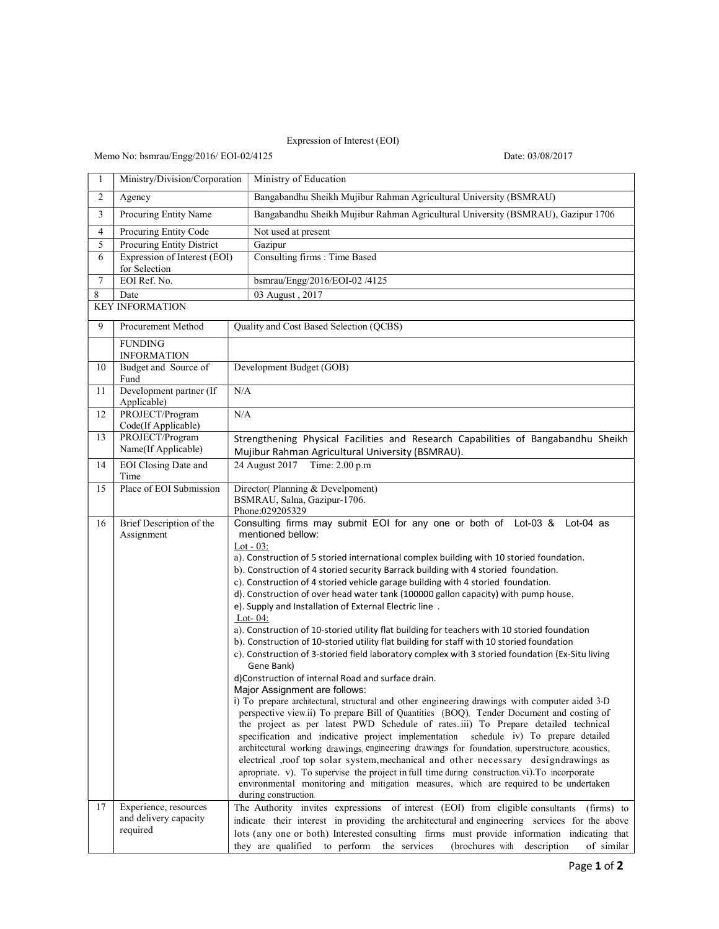## Expression of Interest (EOI)

## Memo No: bsmrau/Engg/2016/ EOI-02/4125 Date: 03/08/2017

| 1  | Ministry/Division/Corporation                                                                                                                                                                                                                                                                                                                                                                                                                                                                                                                                                                                                                                                                                                                                                                                                                                                                                                                                      | Ministry of Education                                                                                                                                                                                                                                                                                                                                                                                                                                                                                                                                                                                                                                                                                                                                                                                                                                                                                                |  |  |
|----|--------------------------------------------------------------------------------------------------------------------------------------------------------------------------------------------------------------------------------------------------------------------------------------------------------------------------------------------------------------------------------------------------------------------------------------------------------------------------------------------------------------------------------------------------------------------------------------------------------------------------------------------------------------------------------------------------------------------------------------------------------------------------------------------------------------------------------------------------------------------------------------------------------------------------------------------------------------------|----------------------------------------------------------------------------------------------------------------------------------------------------------------------------------------------------------------------------------------------------------------------------------------------------------------------------------------------------------------------------------------------------------------------------------------------------------------------------------------------------------------------------------------------------------------------------------------------------------------------------------------------------------------------------------------------------------------------------------------------------------------------------------------------------------------------------------------------------------------------------------------------------------------------|--|--|
| 2  | Agency                                                                                                                                                                                                                                                                                                                                                                                                                                                                                                                                                                                                                                                                                                                                                                                                                                                                                                                                                             | Bangabandhu Sheikh Mujibur Rahman Agricultural University (BSMRAU)                                                                                                                                                                                                                                                                                                                                                                                                                                                                                                                                                                                                                                                                                                                                                                                                                                                   |  |  |
| 3  | Procuring Entity Name                                                                                                                                                                                                                                                                                                                                                                                                                                                                                                                                                                                                                                                                                                                                                                                                                                                                                                                                              | Bangabandhu Sheikh Mujibur Rahman Agricultural University (BSMRAU), Gazipur 1706                                                                                                                                                                                                                                                                                                                                                                                                                                                                                                                                                                                                                                                                                                                                                                                                                                     |  |  |
| 4  | Procuring Entity Code                                                                                                                                                                                                                                                                                                                                                                                                                                                                                                                                                                                                                                                                                                                                                                                                                                                                                                                                              | Not used at present                                                                                                                                                                                                                                                                                                                                                                                                                                                                                                                                                                                                                                                                                                                                                                                                                                                                                                  |  |  |
| 5  | Procuring Entity District                                                                                                                                                                                                                                                                                                                                                                                                                                                                                                                                                                                                                                                                                                                                                                                                                                                                                                                                          | Gazipur                                                                                                                                                                                                                                                                                                                                                                                                                                                                                                                                                                                                                                                                                                                                                                                                                                                                                                              |  |  |
| 6  | Expression of Interest (EOI)<br>for Selection                                                                                                                                                                                                                                                                                                                                                                                                                                                                                                                                                                                                                                                                                                                                                                                                                                                                                                                      | Consulting firms : Time Based                                                                                                                                                                                                                                                                                                                                                                                                                                                                                                                                                                                                                                                                                                                                                                                                                                                                                        |  |  |
| 7  | EOI Ref. No.                                                                                                                                                                                                                                                                                                                                                                                                                                                                                                                                                                                                                                                                                                                                                                                                                                                                                                                                                       | bsmrau/Engg/2016/EOI-02 /4125                                                                                                                                                                                                                                                                                                                                                                                                                                                                                                                                                                                                                                                                                                                                                                                                                                                                                        |  |  |
| 8  | Date                                                                                                                                                                                                                                                                                                                                                                                                                                                                                                                                                                                                                                                                                                                                                                                                                                                                                                                                                               | 03 August, 2017                                                                                                                                                                                                                                                                                                                                                                                                                                                                                                                                                                                                                                                                                                                                                                                                                                                                                                      |  |  |
|    | <b>KEY INFORMATION</b>                                                                                                                                                                                                                                                                                                                                                                                                                                                                                                                                                                                                                                                                                                                                                                                                                                                                                                                                             |                                                                                                                                                                                                                                                                                                                                                                                                                                                                                                                                                                                                                                                                                                                                                                                                                                                                                                                      |  |  |
| 9  | Procurement Method                                                                                                                                                                                                                                                                                                                                                                                                                                                                                                                                                                                                                                                                                                                                                                                                                                                                                                                                                 | Quality and Cost Based Selection (QCBS)                                                                                                                                                                                                                                                                                                                                                                                                                                                                                                                                                                                                                                                                                                                                                                                                                                                                              |  |  |
|    | <b>FUNDING</b><br><b>INFORMATION</b>                                                                                                                                                                                                                                                                                                                                                                                                                                                                                                                                                                                                                                                                                                                                                                                                                                                                                                                               |                                                                                                                                                                                                                                                                                                                                                                                                                                                                                                                                                                                                                                                                                                                                                                                                                                                                                                                      |  |  |
| 10 | Budget and Source of                                                                                                                                                                                                                                                                                                                                                                                                                                                                                                                                                                                                                                                                                                                                                                                                                                                                                                                                               | Development Budget (GOB)                                                                                                                                                                                                                                                                                                                                                                                                                                                                                                                                                                                                                                                                                                                                                                                                                                                                                             |  |  |
|    | Fund                                                                                                                                                                                                                                                                                                                                                                                                                                                                                                                                                                                                                                                                                                                                                                                                                                                                                                                                                               |                                                                                                                                                                                                                                                                                                                                                                                                                                                                                                                                                                                                                                                                                                                                                                                                                                                                                                                      |  |  |
| 11 | Development partner (If<br>Applicable)                                                                                                                                                                                                                                                                                                                                                                                                                                                                                                                                                                                                                                                                                                                                                                                                                                                                                                                             | N/A                                                                                                                                                                                                                                                                                                                                                                                                                                                                                                                                                                                                                                                                                                                                                                                                                                                                                                                  |  |  |
| 12 | PROJECT/Program<br>Code(If Applicable)                                                                                                                                                                                                                                                                                                                                                                                                                                                                                                                                                                                                                                                                                                                                                                                                                                                                                                                             | N/A                                                                                                                                                                                                                                                                                                                                                                                                                                                                                                                                                                                                                                                                                                                                                                                                                                                                                                                  |  |  |
| 13 | PROJECT/Program                                                                                                                                                                                                                                                                                                                                                                                                                                                                                                                                                                                                                                                                                                                                                                                                                                                                                                                                                    | Strengthening Physical Facilities and Research Capabilities of Bangabandhu Sheikh                                                                                                                                                                                                                                                                                                                                                                                                                                                                                                                                                                                                                                                                                                                                                                                                                                    |  |  |
|    | Name(If Applicable)                                                                                                                                                                                                                                                                                                                                                                                                                                                                                                                                                                                                                                                                                                                                                                                                                                                                                                                                                | Mujibur Rahman Agricultural University (BSMRAU).                                                                                                                                                                                                                                                                                                                                                                                                                                                                                                                                                                                                                                                                                                                                                                                                                                                                     |  |  |
| 14 | EOI Closing Date and<br>Time                                                                                                                                                                                                                                                                                                                                                                                                                                                                                                                                                                                                                                                                                                                                                                                                                                                                                                                                       | 24 August 2017 Time: 2.00 p.m                                                                                                                                                                                                                                                                                                                                                                                                                                                                                                                                                                                                                                                                                                                                                                                                                                                                                        |  |  |
| 15 | Place of EOI Submission                                                                                                                                                                                                                                                                                                                                                                                                                                                                                                                                                                                                                                                                                                                                                                                                                                                                                                                                            | Director(Planning & Develpoment)                                                                                                                                                                                                                                                                                                                                                                                                                                                                                                                                                                                                                                                                                                                                                                                                                                                                                     |  |  |
|    |                                                                                                                                                                                                                                                                                                                                                                                                                                                                                                                                                                                                                                                                                                                                                                                                                                                                                                                                                                    | BSMRAU, Salna, Gazipur-1706.<br>Phone:029205329                                                                                                                                                                                                                                                                                                                                                                                                                                                                                                                                                                                                                                                                                                                                                                                                                                                                      |  |  |
| 16 | Consulting firms may submit EOI for any one or both of Lot-03 & Lot-04 as<br>Brief Description of the<br>mentioned bellow:<br>Assignment<br>Lot - $03$ :<br>a). Construction of 5 storied international complex building with 10 storied foundation.<br>b). Construction of 4 storied security Barrack building with 4 storied foundation.<br>c). Construction of 4 storied vehicle garage building with 4 storied foundation.<br>d). Construction of over head water tank (100000 gallon capacity) with pump house.<br>e). Supply and Installation of External Electric line.<br>Lot- $04$ :<br>a). Construction of 10-storied utility flat building for teachers with 10 storied foundation<br>b). Construction of 10-storied utility flat building for staff with 10 storied foundation<br>c). Construction of 3-storied field laboratory complex with 3 storied foundation (Ex-Situ living<br>Gene Bank)<br>d)Construction of internal Road and surface drain. |                                                                                                                                                                                                                                                                                                                                                                                                                                                                                                                                                                                                                                                                                                                                                                                                                                                                                                                      |  |  |
| 17 | Experience, resources                                                                                                                                                                                                                                                                                                                                                                                                                                                                                                                                                                                                                                                                                                                                                                                                                                                                                                                                              | Major Assignment are follows:<br>i) To prepare architectural, structural and other engineering drawings with computer aided 3-D<br>perspective view.ii) To prepare Bill of Quantities (BOQ), Tender Document and costing of<br>the project as per latest PWD Schedule of ratesiii) To Prepare detailed technical<br>specification and indicative project implementation schedule iv) To prepare detailed<br>architectural working drawings engineering drawings for foundation, superstructure, acoustics,<br>electrical ,roof top solar system, mechanical and other necessary designdrawings as<br>apropriate. v). To supervise the project in full time during construction vi). To incorporate<br>environmental monitoring and mitigation measures, which are required to be undertaken<br>during construction.<br>The Authority invites expressions of interest (EOI) from eligible consultants<br>$(firms)$ to |  |  |
|    | and delivery capacity<br>required                                                                                                                                                                                                                                                                                                                                                                                                                                                                                                                                                                                                                                                                                                                                                                                                                                                                                                                                  | indicate their interest in providing the architectural and engineering services for the above<br>lots (any one or both). Interested consulting firms must provide information indicating that<br>they are qualified to perform<br>the services<br>(brochures with<br>description<br>of similar                                                                                                                                                                                                                                                                                                                                                                                                                                                                                                                                                                                                                       |  |  |